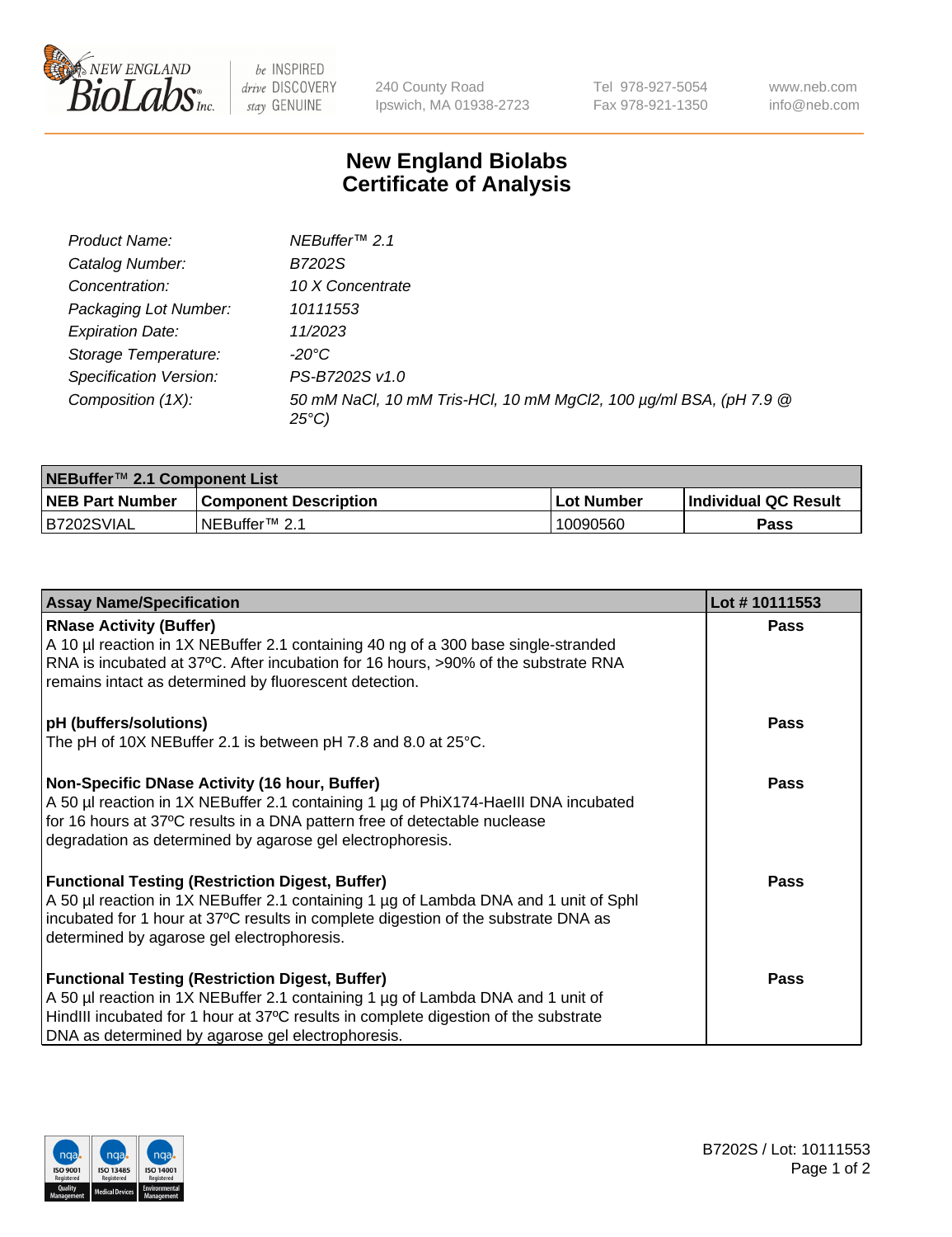

be INSPIRED drive DISCOVERY stay GENUINE

240 County Road Ipswich, MA 01938-2723 Tel 978-927-5054 Fax 978-921-1350 www.neb.com info@neb.com

## **New England Biolabs Certificate of Analysis**

| Product Name:           | NEBuffer <sup>™</sup> 2.1                                                          |
|-------------------------|------------------------------------------------------------------------------------|
| Catalog Number:         | B7202S                                                                             |
| Concentration:          | 10 X Concentrate                                                                   |
| Packaging Lot Number:   | 10111553                                                                           |
| <b>Expiration Date:</b> | 11/2023                                                                            |
| Storage Temperature:    | -20°C                                                                              |
| Specification Version:  | PS-B7202S v1.0                                                                     |
| Composition (1X):       | 50 mM NaCl, 10 mM Tris-HCl, 10 mM MgCl2, 100 µg/ml BSA, (pH 7.9 @<br>$25^{\circ}C$ |

| NEBuffer™ 2.1 Component List |                              |              |                             |  |  |
|------------------------------|------------------------------|--------------|-----------------------------|--|--|
| <b>NEB Part Number</b>       | <b>Component Description</b> | . Lot Number | <b>Individual QC Result</b> |  |  |
| B7202SVIAL                   | NEBuffer™ 2.1                | 10090560     | <b>Pass</b>                 |  |  |

| <b>Assay Name/Specification</b>                                                                                                                                  | Lot #10111553 |
|------------------------------------------------------------------------------------------------------------------------------------------------------------------|---------------|
| <b>RNase Activity (Buffer)</b><br>A 10 µl reaction in 1X NEBuffer 2.1 containing 40 ng of a 300 base single-stranded                                             | <b>Pass</b>   |
| RNA is incubated at 37°C. After incubation for 16 hours, >90% of the substrate RNA                                                                               |               |
| remains intact as determined by fluorescent detection.                                                                                                           |               |
| pH (buffers/solutions)                                                                                                                                           | <b>Pass</b>   |
| The pH of 10X NEBuffer 2.1 is between pH 7.8 and 8.0 at 25°C.                                                                                                    |               |
| Non-Specific DNase Activity (16 hour, Buffer)                                                                                                                    | <b>Pass</b>   |
| A 50 µl reaction in 1X NEBuffer 2.1 containing 1 µg of PhiX174-Haelll DNA incubated<br>for 16 hours at 37°C results in a DNA pattern free of detectable nuclease |               |
| degradation as determined by agarose gel electrophoresis.                                                                                                        |               |
| <b>Functional Testing (Restriction Digest, Buffer)</b>                                                                                                           | <b>Pass</b>   |
| A 50 µl reaction in 1X NEBuffer 2.1 containing 1 µg of Lambda DNA and 1 unit of Sphl                                                                             |               |
| incubated for 1 hour at 37°C results in complete digestion of the substrate DNA as                                                                               |               |
| determined by agarose gel electrophoresis.                                                                                                                       |               |
| <b>Functional Testing (Restriction Digest, Buffer)</b>                                                                                                           | <b>Pass</b>   |
| A 50 µl reaction in 1X NEBuffer 2.1 containing 1 µg of Lambda DNA and 1 unit of                                                                                  |               |
| HindIII incubated for 1 hour at 37°C results in complete digestion of the substrate                                                                              |               |
| DNA as determined by agarose gel electrophoresis.                                                                                                                |               |